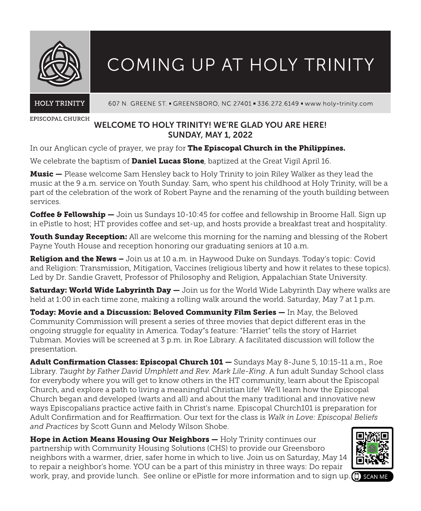

# COMING UP AT HOLY TRINITY

**HOLY TRINITY** 

607 N. GREENE ST. - GREENSBORO, NC 27401 - 336.272.6149 - www.holy-trinity.com

EPISCOPAL CHURCH

# WELCOME TO HOLY TRINITY! WE'RE GLAD YOU ARE HERE! SUNDAY, MAY 1, 2022

In our Anglican cycle of prayer, we pray for The Episcopal Church in the Philippines.

We celebrate the baptism of **Daniel Lucas Slone**, baptized at the Great Vigil April 16.

**Music —** Please welcome Sam Hensley back to Holy Trinity to join Riley Walker as they lead the music at the 9 a.m. service on Youth Sunday. Sam, who spent his childhood at Holy Trinity, will be a part of the celebration of the work of Robert Payne and the renaming of the youth building between services.

**Coffee & Fellowship —** Join us Sundays 10-10:45 for coffee and fellowship in Broome Hall. Sign up in ePistle to host; HT provides coffee and set-up, and hosts provide a breakfast treat and hospitality.

Youth Sunday Reception: All are welcome this morning for the naming and blessing of the Robert Payne Youth House and reception honoring our graduating seniors at 10 a.m.

**Religion and the News –** Join us at 10 a.m. in Haywood Duke on Sundays. Today's topic: Covid and Religion: Transmission, Mitigation, Vaccines (religious liberty and how it relates to these topics). Led by Dr. Sandie Gravett, Professor of Philosophy and Religion, Appalachian State University.

Saturday: World Wide Labyrinth Day — Join us for the World Wide Labyrinth Day where walks are held at 1:00 in each time zone, making a rolling walk around the world. Saturday, May 7 at 1 p.m.

Today: Movie and a Discussion: Beloved Community Film Series — In May, the Beloved Community Commission will present a series of three movies that depict different eras in the ongoing struggle for equality in America. Today"s feature: "Harriet" tells the story of Harriet Tubman. Movies will be screened at 3 p.m. in Roe Library. A facilitated discussion will follow the presentation.

Adult Confirmation Classes: Episcopal Church 101 — Sundays May 8-June 5, 10:15-11 a.m., Roe Library. *Taught by Father David Umphlett and Rev. Mark Lile-King*. A fun adult Sunday School class for everybody where you will get to know others in the HT community, learn about the Episcopal Church, and explore a path to living a meaningful Christian life! We'll learn how the Episcopal Church began and developed (warts and all) and about the many traditional and innovative new ways Episcopalians practice active faith in Christ's name. Episcopal Church101 is preparation for Adult Confirmation and for Reaffirmation. Our text for the class is *Walk in Love: Episcopal Beliefs and Practices* by Scott Gunn and Melody Wilson Shobe.

**Hope in Action Means Housing Our Neighbors —** Holy Trinity continues our partnership with Community Housing Solutions (CHS) to provide our Greensboro neighbors with a warmer, drier, safer home in which to live. Join us on Saturday, May 14 to repair a neighbor's home. YOU can be a part of this ministry in three ways: Do repair work, pray, and provide lunch. See online or ePistle for more information and to sign up. (1) SCAN ME